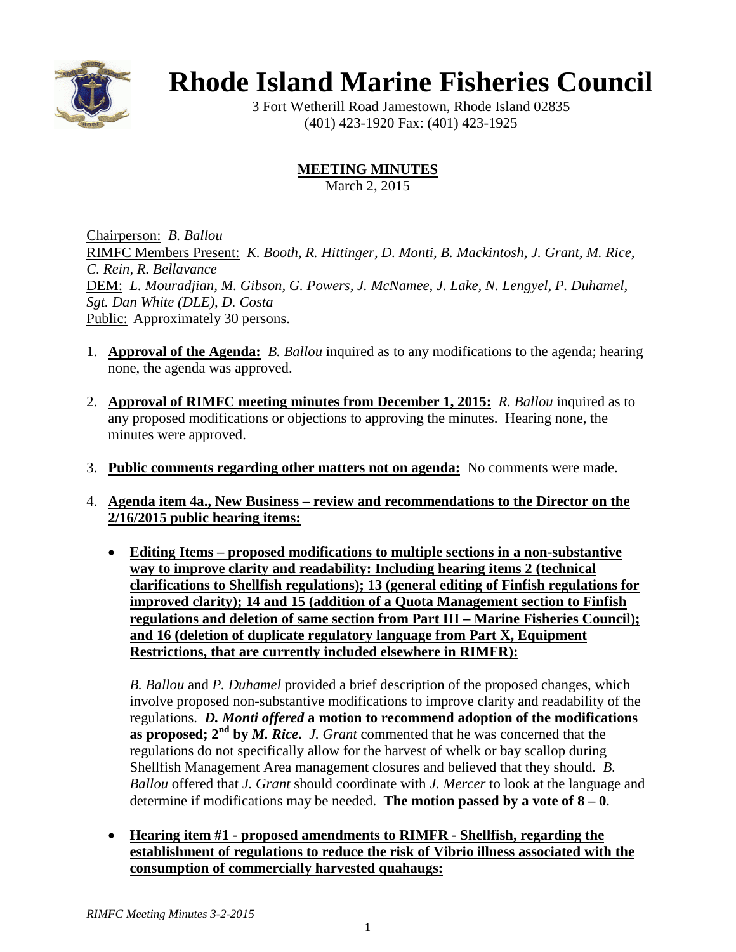

# **Rhode Island Marine Fisheries Council**

3 Fort Wetherill Road Jamestown, Rhode Island 02835 (401) 423-1920 Fax: (401) 423-1925

# **MEETING MINUTES**

March 2, 2015

Chairperson: *B. Ballou* RIMFC Members Present: *K. Booth, R. Hittinger, D. Monti, B. Mackintosh, J. Grant, M. Rice, C. Rein, R. Bellavance* DEM: *L. Mouradjian, M. Gibson, G. Powers, J. McNamee, J. Lake, N. Lengyel, P. Duhamel, Sgt. Dan White (DLE), D. Costa* Public: Approximately 30 persons.

- 1. **Approval of the Agenda:** *B. Ballou* inquired as to any modifications to the agenda; hearing none, the agenda was approved.
- 2. **Approval of RIMFC meeting minutes from December 1, 2015:** *R. Ballou* inquired as to any proposed modifications or objections to approving the minutes. Hearing none, the minutes were approved.
- 3. **Public comments regarding other matters not on agenda:** No comments were made.
- 4. **Agenda item 4a., New Business – review and recommendations to the Director on the 2/16/2015 public hearing items:**
	- **Editing Items – proposed modifications to multiple sections in a non-substantive way to improve clarity and readability: Including hearing items 2 (technical clarifications to Shellfish regulations); 13 (general editing of Finfish regulations for improved clarity); 14 and 15 (addition of a Quota Management section to Finfish regulations and deletion of same section from Part III – Marine Fisheries Council); and 16 (deletion of duplicate regulatory language from Part X, Equipment Restrictions, that are currently included elsewhere in RIMFR):**

*B. Ballou* and *P. Duhamel* provided a brief description of the proposed changes, which involve proposed non-substantive modifications to improve clarity and readability of the regulations. *D. Monti offered* **a motion to recommend adoption of the modifications as proposed; 2nd by** *M. Rice***.** *J. Grant* commented that he was concerned that the regulations do not specifically allow for the harvest of whelk or bay scallop during Shellfish Management Area management closures and believed that they should*. B. Ballou* offered that *J. Grant* should coordinate with *J. Mercer* to look at the language and determine if modifications may be needed. **The motion passed by a vote of**  $8 - 0$ .

• **Hearing item #1 - proposed amendments to RIMFR - Shellfish, regarding the establishment of regulations to reduce the risk of Vibrio illness associated with the consumption of commercially harvested quahaugs:**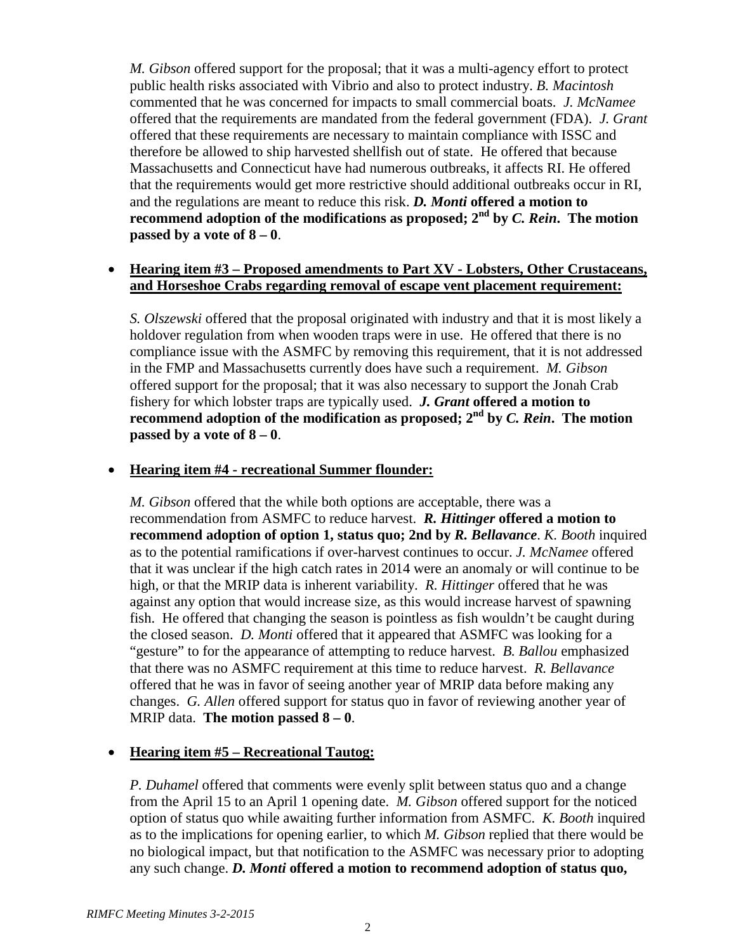*M. Gibson* offered support for the proposal; that it was a multi-agency effort to protect public health risks associated with Vibrio and also to protect industry. *B. Macintosh*  commented that he was concerned for impacts to small commercial boats. *J. McNamee*  offered that the requirements are mandated from the federal government (FDA). *J. Grant*  offered that these requirements are necessary to maintain compliance with ISSC and therefore be allowed to ship harvested shellfish out of state. He offered that because Massachusetts and Connecticut have had numerous outbreaks, it affects RI. He offered that the requirements would get more restrictive should additional outbreaks occur in RI, and the regulations are meant to reduce this risk. *D. Monti* **offered a motion to recommend** adoption of the modifications as proposed;  $2<sup>nd</sup>$  by *C. Rein*. The motion **passed by a vote of**  $8 - 0$ **.** 

#### • **Hearing item #3 – Proposed amendments to Part XV - Lobsters, Other Crustaceans, and Horseshoe Crabs regarding removal of escape vent placement requirement:**

*S. Olszewski* offered that the proposal originated with industry and that it is most likely a holdover regulation from when wooden traps were in use. He offered that there is no compliance issue with the ASMFC by removing this requirement, that it is not addressed in the FMP and Massachusetts currently does have such a requirement. *M. Gibson*  offered support for the proposal; that it was also necessary to support the Jonah Crab fishery for which lobster traps are typically used. *J. Grant* **offered a motion to recommend adoption of the modification as proposed; 2nd by** *C. Rein***. The motion passed by a vote of**  $8 - 0$ **.** 

# • **Hearing item #4 - recreational Summer flounder:**

*M. Gibson* offered that the while both options are acceptable, there was a recommendation from ASMFC to reduce harvest. *R. Hittinger* **offered a motion to recommend adoption of option 1, status quo; 2nd by** *R. Bellavance*. *K. Booth* inquired as to the potential ramifications if over-harvest continues to occur. *J. McNamee* offered that it was unclear if the high catch rates in 2014 were an anomaly or will continue to be high, or that the MRIP data is inherent variability. *R. Hittinger* offered that he was against any option that would increase size, as this would increase harvest of spawning fish. He offered that changing the season is pointless as fish wouldn't be caught during the closed season. *D. Monti* offered that it appeared that ASMFC was looking for a "gesture" to for the appearance of attempting to reduce harvest. *B. Ballou* emphasized that there was no ASMFC requirement at this time to reduce harvest. *R. Bellavance* offered that he was in favor of seeing another year of MRIP data before making any changes. *G. Allen* offered support for status quo in favor of reviewing another year of MRIP data. **The motion passed 8 – 0**.

# • **Hearing item #5 – Recreational Tautog:**

*P. Duhamel* offered that comments were evenly split between status quo and a change from the April 15 to an April 1 opening date. *M. Gibson* offered support for the noticed option of status quo while awaiting further information from ASMFC. *K. Booth* inquired as to the implications for opening earlier, to which *M. Gibson* replied that there would be no biological impact, but that notification to the ASMFC was necessary prior to adopting any such change. *D. Monti* **offered a motion to recommend adoption of status quo,**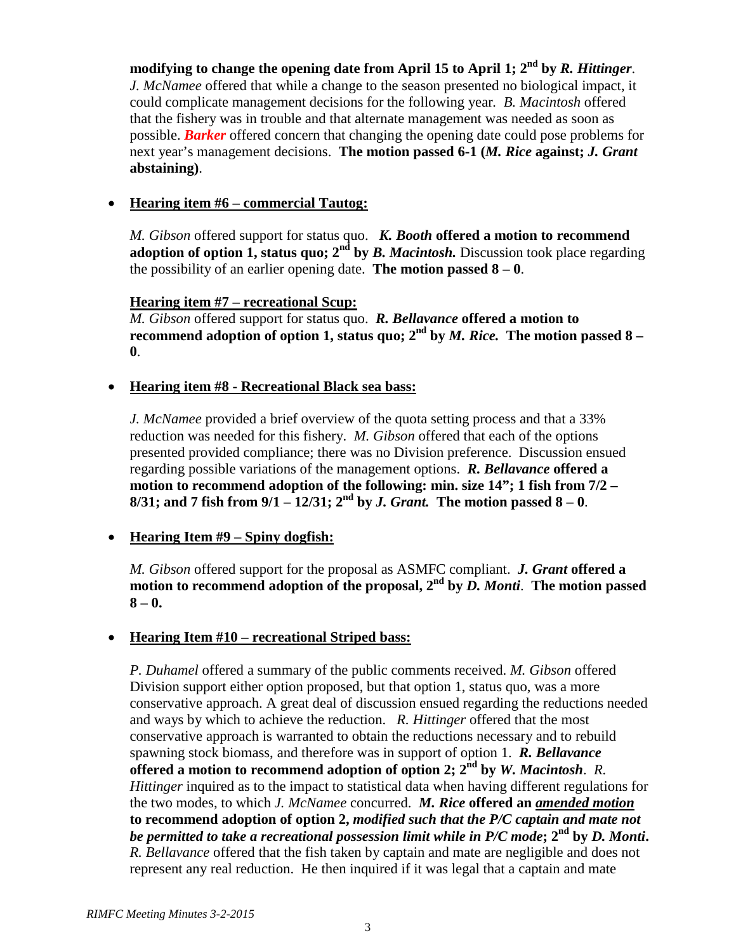**modifying to change the opening date from April 15 to April 1; 2nd by** *R. Hittinger*. *J. McNamee* offered that while a change to the season presented no biological impact, it could complicate management decisions for the following year*. B. Macintosh* offered that the fishery was in trouble and that alternate management was needed as soon as possible. *Barker* offered concern that changing the opening date could pose problems for next year's management decisions. **The motion passed 6-1 (***M. Rice* **against;** *J. Grant* **abstaining)**.

#### • **Hearing item #6 – commercial Tautog:**

*M. Gibson* offered support for status quo. *K. Booth* **offered a motion to recommend adoption of option 1, status quo; 2<sup>nd</sup> by** *B. Macintosh.* **Discussion took place regarding** the possibility of an earlier opening date. **The motion passed**  $8 - 0$ .

#### **Hearing item #7 – recreational Scup:**

*M. Gibson* offered support for status quo. *R. Bellavance* **offered a motion to recommend adoption of option 1, status quo; 2nd by** *M. Rice.* **The motion passed 8 – 0**.

#### • **Hearing item #8 - Recreational Black sea bass:**

*J. McNamee* provided a brief overview of the quota setting process and that a 33% reduction was needed for this fishery. *M. Gibson* offered that each of the options presented provided compliance; there was no Division preference. Discussion ensued regarding possible variations of the management options. *R. Bellavance* **offered a motion to recommend adoption of the following: min. size 14"; 1 fish from 7/2 – 8/31;** and 7 fish from  $9/1 - 12/31$ ;  $2^{nd}$  by *J. Grant.* The motion passed  $8 - 0$ .

#### • **Hearing Item #9 – Spiny dogfish:**

*M. Gibson* offered support for the proposal as ASMFC compliant. *J. Grant* **offered a motion to recommend adoption of the proposal, 2nd by** *D. Monti*. **The motion passed 8 – 0.**

#### • **Hearing Item #10 – recreational Striped bass:**

*P. Duhamel* offered a summary of the public comments received. *M. Gibson* offered Division support either option proposed, but that option 1, status quo, was a more conservative approach. A great deal of discussion ensued regarding the reductions needed and ways by which to achieve the reduction. *R. Hittinger* offered that the most conservative approach is warranted to obtain the reductions necessary and to rebuild spawning stock biomass, and therefore was in support of option 1. *R. Bellavance*  **offered a motion to recommend adoption of option 2; 2nd by** *W. Macintosh*. *R. Hittinger* inquired as to the impact to statistical data when having different regulations for the two modes, to which *J. McNamee* concurred. *M. Rice* **offered an** *amended motion* **to recommend adoption of option 2,** *modified such that the P/C captain and mate not be permitted to take a recreational possession limit while in P/C mode***; 2nd by** *D. Monti***.** *R. Bellavance* offered that the fish taken by captain and mate are negligible and does not represent any real reduction. He then inquired if it was legal that a captain and mate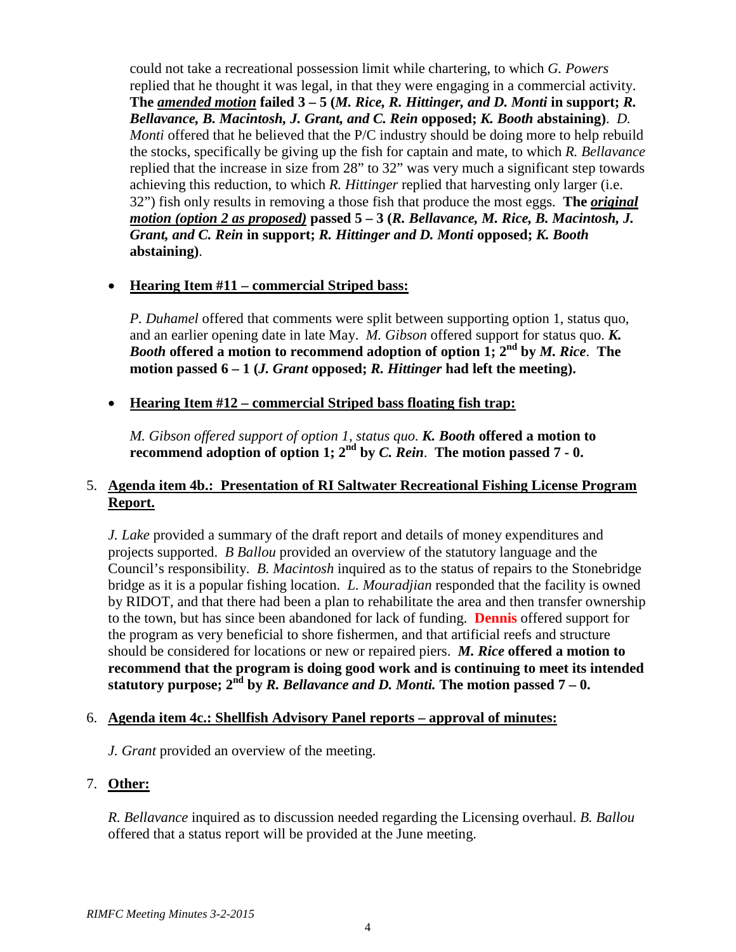could not take a recreational possession limit while chartering, to which *G. Powers* replied that he thought it was legal, in that they were engaging in a commercial activity. **The** *amended motion* **failed 3 – 5 (***M. Rice, R. Hittinger, and D. Monti* **in support;** *R. Bellavance, B. Macintosh, J. Grant, and C. Rein* **opposed;** *K. Booth* **abstaining)**. *D. Monti* offered that he believed that the P/C industry should be doing more to help rebuild the stocks, specifically be giving up the fish for captain and mate, to which *R. Bellavance* replied that the increase in size from 28" to 32" was very much a significant step towards achieving this reduction, to which *R. Hittinger* replied that harvesting only larger (i.e. 32") fish only results in removing a those fish that produce the most eggs. **The** *original motion (option 2 as proposed)* **passed 5 – 3 (***R. Bellavance, M. Rice, B. Macintosh, J. Grant, and C. Rein* **in support;** *R. Hittinger and D. Monti* **opposed;** *K. Booth* **abstaining)**.

# • **Hearing Item #11 – commercial Striped bass:**

*P. Duhamel* offered that comments were split between supporting option 1, status quo, and an earlier opening date in late May. *M. Gibson* offered support for status quo. *K. Booth* **offered a motion to recommend adoption of option 1; 2nd by** *M. Rice*. **The motion passed 6 – 1 (***J. Grant* **opposed;** *R. Hittinger* **had left the meeting).**

#### • **Hearing Item #12 – commercial Striped bass floating fish trap:**

*M. Gibson offered support of option 1, status quo. K. Booth* **offered a motion to recommend adoption of option 1; 2nd by** *C. Rein*. **The motion passed 7 - 0.**

# 5. **Agenda item 4b.: Presentation of RI Saltwater Recreational Fishing License Program Report.**

*J. Lake* provided a summary of the draft report and details of money expenditures and projects supported. *B Ballou* provided an overview of the statutory language and the Council's responsibility. *B. Macintosh* inquired as to the status of repairs to the Stonebridge bridge as it is a popular fishing location. *L. Mouradjian* responded that the facility is owned by RIDOT, and that there had been a plan to rehabilitate the area and then transfer ownership to the town, but has since been abandoned for lack of funding. **Dennis** offered support for the program as very beneficial to shore fishermen, and that artificial reefs and structure should be considered for locations or new or repaired piers. *M. Rice* **offered a motion to recommend that the program is doing good work and is continuing to meet its intended**  statutory purpose;  $2^{\overline{n}d}$  by *R. Bellavance and D. Monti.* The motion passed  $7 - 0$ .

#### 6. **Agenda item 4c.: Shellfish Advisory Panel reports – approval of minutes:**

*J. Grant* provided an overview of the meeting.

#### 7. **Other:**

*R. Bellavance* inquired as to discussion needed regarding the Licensing overhaul. *B. Ballou* offered that a status report will be provided at the June meeting.